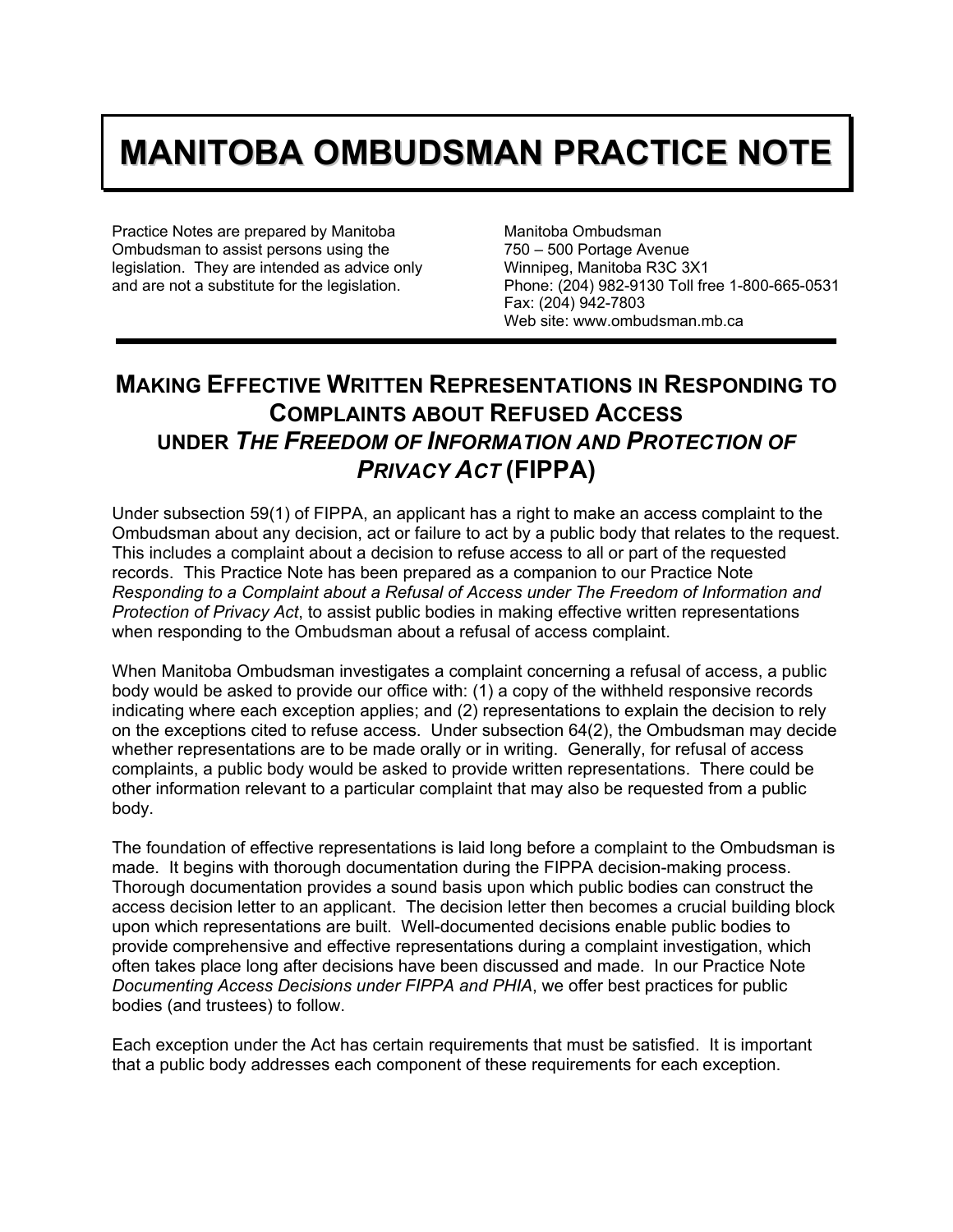## **MANITOBA OMBUDSMAN PRACTICE NOTE**

Practice Notes are prepared by Manitoba Ombudsman to assist persons using the legislation. They are intended as advice only and are not a substitute for the legislation.

Manitoba Ombudsman 750 – 500 Portage Avenue Winnipeg, Manitoba R3C 3X1 Phone: (204) 982-9130 Toll free 1-800-665-0531 Fax: (204) 942-7803 Web site: www.ombudsman.mb.ca

## **MAKING EFFECTIVE WRITTEN REPRESENTATIONS IN RESPONDING TO COMPLAINTS ABOUT REFUSED ACCESS UNDER** *THE FREEDOM OF INFORMATION AND PROTECTION OF PRIVACY ACT* **(FIPPA)**

Under subsection 59(1) of FIPPA, an applicant has a right to make an access complaint to the Ombudsman about any decision, act or failure to act by a public body that relates to the request. This includes a complaint about a decision to refuse access to all or part of the requested records. This Practice Note has been prepared as a companion to our Practice Note *Responding to a Complaint about a Refusal of Access under The Freedom of Information and Protection of Privacy Act*, to assist public bodies in making effective written representations when responding to the Ombudsman about a refusal of access complaint.

When Manitoba Ombudsman investigates a complaint concerning a refusal of access, a public body would be asked to provide our office with: (1) a copy of the withheld responsive records indicating where each exception applies; and (2) representations to explain the decision to rely on the exceptions cited to refuse access. Under subsection 64(2), the Ombudsman may decide whether representations are to be made orally or in writing. Generally, for refusal of access complaints, a public body would be asked to provide written representations. There could be other information relevant to a particular complaint that may also be requested from a public body.

The foundation of effective representations is laid long before a complaint to the Ombudsman is made. It begins with thorough documentation during the FIPPA decision-making process. Thorough documentation provides a sound basis upon which public bodies can construct the access decision letter to an applicant. The decision letter then becomes a crucial building block upon which representations are built. Well-documented decisions enable public bodies to provide comprehensive and effective representations during a complaint investigation, which often takes place long after decisions have been discussed and made. In our Practice Note *Documenting Access Decisions under FIPPA and PHIA*, we offer best practices for public bodies (and trustees) to follow.

Each exception under the Act has certain requirements that must be satisfied. It is important that a public body addresses each component of these requirements for each exception.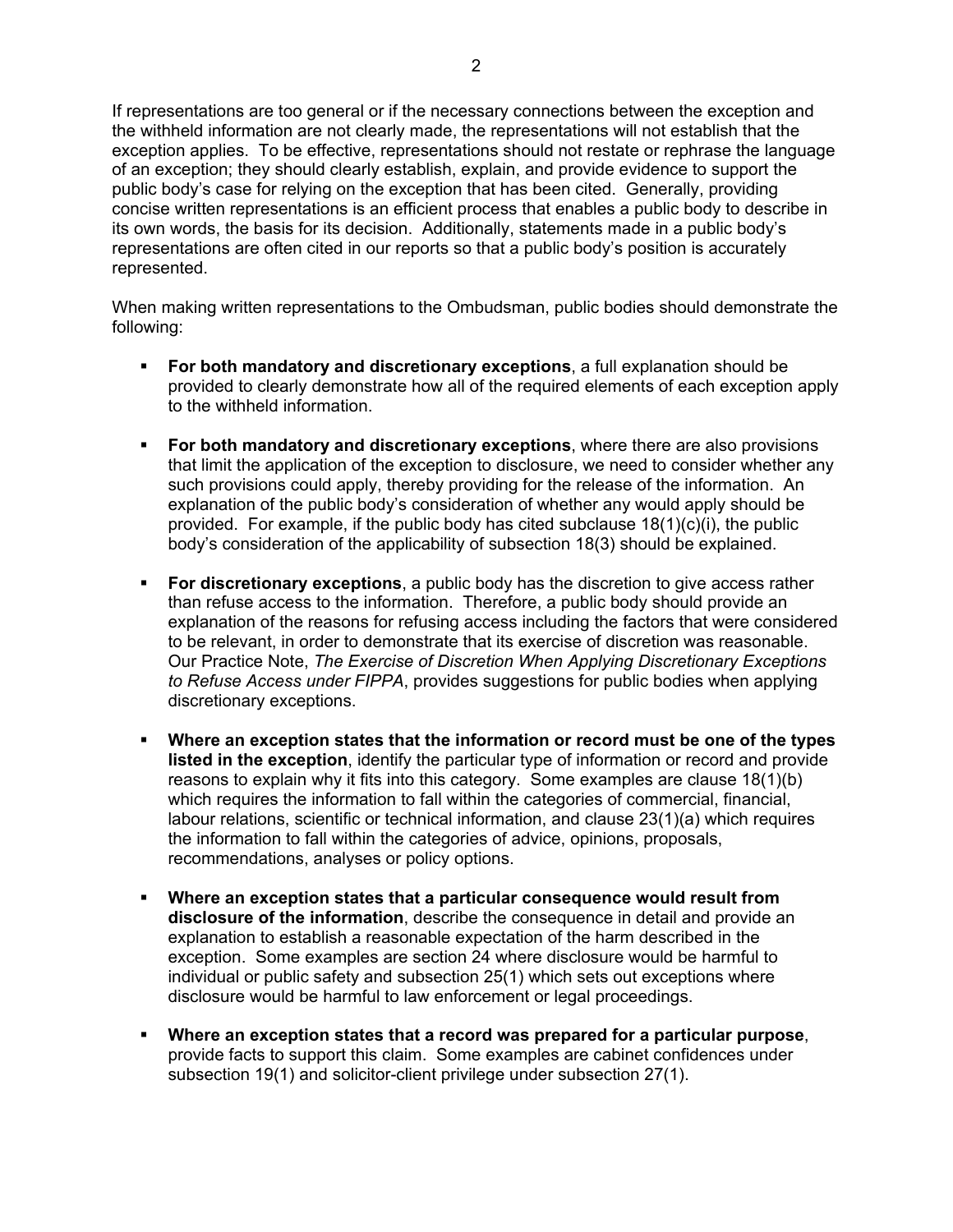If representations are too general or if the necessary connections between the exception and the withheld information are not clearly made, the representations will not establish that the exception applies. To be effective, representations should not restate or rephrase the language of an exception; they should clearly establish, explain, and provide evidence to support the public body's case for relying on the exception that has been cited. Generally, providing concise written representations is an efficient process that enables a public body to describe in its own words, the basis for its decision. Additionally, statements made in a public body's representations are often cited in our reports so that a public body's position is accurately represented.

When making written representations to the Ombudsman, public bodies should demonstrate the following:

- **For both mandatory and discretionary exceptions**, a full explanation should be provided to clearly demonstrate how all of the required elements of each exception apply to the withheld information.
- **For both mandatory and discretionary exceptions**, where there are also provisions that limit the application of the exception to disclosure, we need to consider whether any such provisions could apply, thereby providing for the release of the information. An explanation of the public body's consideration of whether any would apply should be provided. For example, if the public body has cited subclause 18(1)(c)(i), the public body's consideration of the applicability of subsection 18(3) should be explained.
- **For discretionary exceptions**, a public body has the discretion to give access rather than refuse access to the information. Therefore, a public body should provide an explanation of the reasons for refusing access including the factors that were considered to be relevant, in order to demonstrate that its exercise of discretion was reasonable. Our Practice Note, *The Exercise of Discretion When Applying Discretionary Exceptions to Refuse Access under FIPPA*, provides suggestions for public bodies when applying discretionary exceptions.
- **Where an exception states that the information or record must be one of the types listed in the exception**, identify the particular type of information or record and provide reasons to explain why it fits into this category. Some examples are clause 18(1)(b) which requires the information to fall within the categories of commercial, financial, labour relations, scientific or technical information, and clause 23(1)(a) which requires the information to fall within the categories of advice, opinions, proposals, recommendations, analyses or policy options.
- **Where an exception states that a particular consequence would result from disclosure of the information**, describe the consequence in detail and provide an explanation to establish a reasonable expectation of the harm described in the exception. Some examples are section 24 where disclosure would be harmful to individual or public safety and subsection 25(1) which sets out exceptions where disclosure would be harmful to law enforcement or legal proceedings.
- **Where an exception states that a record was prepared for a particular purpose**, provide facts to support this claim. Some examples are cabinet confidences under subsection 19(1) and solicitor-client privilege under subsection 27(1).